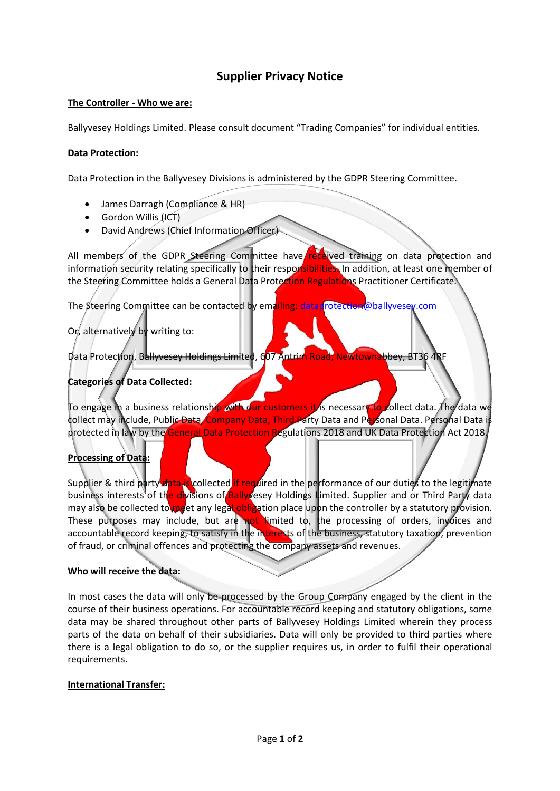# **Supplier Privacy Notice**

#### **The Controller - Who we are:**

Ballyvesey Holdings Limited. Please consult document "Trading Companies" for individual entities.

#### **Data Protection:**

Data Protection in the Ballyvesey Divisions is administered by the GDPR Steering Committee.

- James Darragh (Compliance & HR)
- $\bullet$  Gordon Willis  $(HCT)$
- David Andrews (Chief Information Officer)

All members of the GDPR Steering Committee have received training on data protection and information security relating specifically to their responsibilities. In addition, at least one member of the Steering Committee holds a General Data Protection Regulations Practitioner Certificate.

The Steering Committee can be contacted by emailing: [dataprotection@ballyvesey.com](mailto:dataprotection@ballyvesey.com)

### Or, alternatively by writing to:

Data Protection, Ballyvesey Holdings Limited, 607 Antrim Road, Newtownabbey, BT36 4RF

### **Categories of Data Collected:**

To engage in a business relationship with our customers it is necessary to collect data. The data we collect may include, Public Data, Company Data, Third Party Data and Personal Data. Personal Data is protected in law by the General Data Protection Regulations 2018 and UK Data Protection Act 2018.

### **Processing of Data:**

Supplier & third party data is collected if required in the performance of our duties to the legitimate business interests of the divisions of Ballyvesey Holdings Limited. Supplier and or Third Party data may also be collected to meet any legal obligation place upon the controller by a statutory provision. These purposes may include, but are not limited to, the processing of orders, invoices and accountable record keeping, to satisfy in the interests of the business, statutory taxation, prevention of fraud, or criminal offences and protecting the company assets and revenues.

### **Who will receive the data:**

In most cases the data will only be processed by the Group Company engaged by the client in the course of their business operations. For accountable record keeping and statutory obligations, some data may be shared throughout other parts of Ballyvesey Holdings Limited wherein they process parts of the data on behalf of their subsidiaries. Data will only be provided to third parties where there is a legal obligation to do so, or the supplier requires us, in order to fulfil their operational requirements.

#### **International Transfer:**